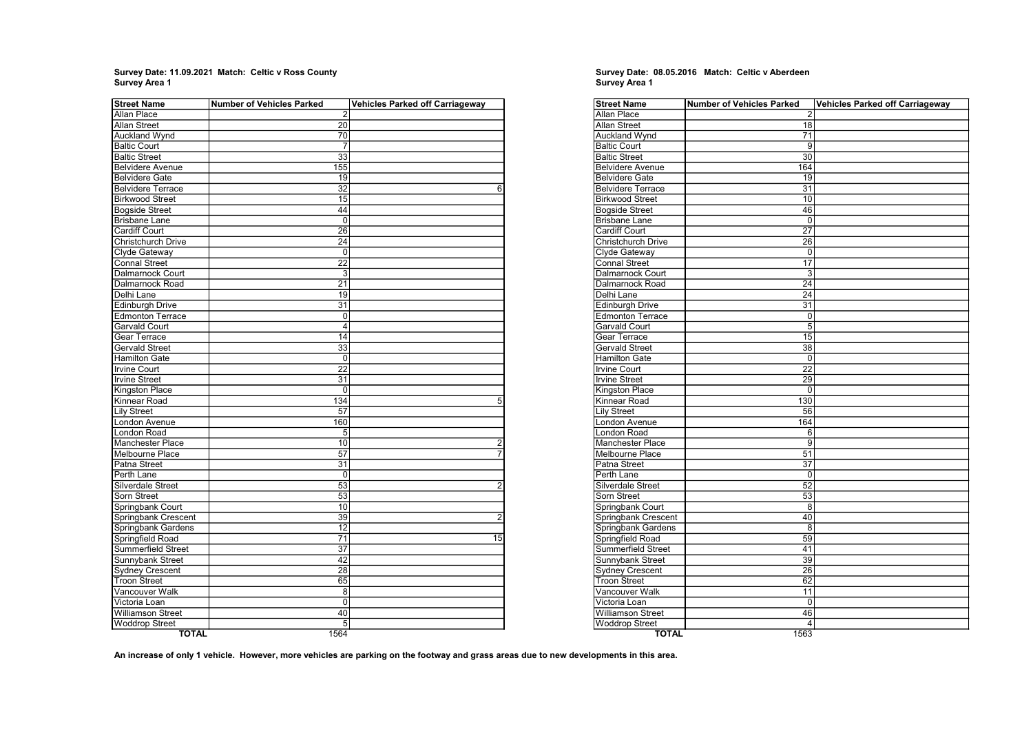$\overline{a}$ Survey Date: 11.09.2021 Match: Celtic v Ross County Survey Date: 08.05.2016 Match: Celtic v Aberdeen Survey Date: 08.05.2016 Match: Celtic v Aberdeen Survey Area 1

| Street Name               | <b>Number of Vehicles Parked</b> | <b>Vehicles Parked off Carriageway</b> |
|---------------------------|----------------------------------|----------------------------------------|
| Allan Place               | $\overline{2}$                   |                                        |
| <b>Allan Street</b>       | 20                               |                                        |
| Auckland Wynd             | 70                               |                                        |
| <b>Baltic Court</b>       | 7                                |                                        |
| <b>Baltic Street</b>      | 33                               |                                        |
| <b>Belvidere Avenue</b>   | 155                              |                                        |
| <b>Belvidere Gate</b>     | 19                               |                                        |
| <b>Belvidere Terrace</b>  | 32                               | 6                                      |
| <b>Birkwood Street</b>    | 15                               |                                        |
| <b>Bogside Street</b>     | 44                               |                                        |
| <b>Brisbane Lane</b>      | $\Omega$                         |                                        |
| Cardiff Court             | 26                               |                                        |
| Christchurch Drive        | 24                               |                                        |
| Clyde Gateway             | 0                                |                                        |
| <b>Connal Street</b>      | $\overline{22}$                  |                                        |
| Dalmarnock Court          | $\overline{3}$                   |                                        |
| Dalmarnock Road           | 21                               |                                        |
| Delhi Lane                | $\overline{19}$                  |                                        |
| <b>Edinburgh Drive</b>    | $\overline{31}$                  |                                        |
| <b>Edmonton Terrace</b>   | $\overline{0}$                   |                                        |
| <b>Garvald Court</b>      | 4                                |                                        |
| Gear Terrace              | $\overline{14}$                  |                                        |
| <b>Gervald Street</b>     | $\overline{33}$                  |                                        |
| <b>Hamilton Gate</b>      | $\Omega$                         |                                        |
| Irvine Court              | 22                               |                                        |
| <b>Irvine Street</b>      | 31                               |                                        |
| Kingston Place            | 0                                |                                        |
| Kinnear Road              | 134                              | 5                                      |
| <b>Lily Street</b>        | 57                               |                                        |
| London Avenue             | 160                              |                                        |
| London Road               | 5                                |                                        |
| Manchester Place          | 10                               | $\overline{2}$                         |
| Melbourne Place           | 57                               | $\overline{7}$                         |
| Patna Street              | 31                               |                                        |
| Perth Lane                | $\mathbf 0$                      |                                        |
| Silverdale Street         | 53                               | $\overline{2}$                         |
| Sorn Street               | 53                               |                                        |
| Springbank Court          | 10                               |                                        |
| Springbank Crescent       | 39                               | $\overline{2}$                         |
| Springbank Gardens        | $\overline{12}$                  |                                        |
| Springfield Road          | $\overline{71}$                  | 15                                     |
| <b>Summerfield Street</b> | 37                               |                                        |
| <b>Sunnybank Street</b>   | 42                               |                                        |
| <b>Sydney Crescent</b>    | $\overline{28}$                  |                                        |
| <b>Troon Street</b>       | 65                               |                                        |
| Vancouver Walk            | 8                                |                                        |
| Victoria Loan             | $\Omega$                         |                                        |
| <b>Williamson Street</b>  | 40                               |                                        |
| <b>Woddrop Street</b>     | 5                                |                                        |
| TOTAL                     | 1564                             |                                        |

# Survey Date: 08.05.2016 Match: Celtic v Aberdeen<br>Survey Area 1

| $\overline{2}$<br>18<br>71<br>9<br>30<br>164<br>19<br>31<br>10<br>46<br>$\mathbf 0$<br>27<br>26<br>0<br>17<br><b>Dalmarnock Court</b><br>3<br>24<br>Delhi Lane<br>24<br><b>Edinburgh Drive</b><br>31<br><b>Edmonton Terrace</b><br>0<br><b>Garvald Court</b><br>$\overline{5}$<br><b>Gear Terrace</b><br>15<br><b>Gervald Street</b><br>38<br><b>Hamilton Gate</b><br>$\mathbf 0$<br><b>Irvine Court</b><br>22<br><b>Irvine Street</b><br>29<br><b>Kingston Place</b><br>$\Omega$<br>Kinnear Road<br>130<br><b>Lily Street</b><br>56<br>London Avenue<br>164<br>London Road<br>6<br>9<br>Manchester Place<br>Melbourne Place<br>51<br>Patna Street<br>37<br>Perth Lane<br>$\mathbf 0$<br>Silverdale Street<br>52<br>Sorn Street<br>53<br>8<br>Springbank Court<br><b>Springbank Crescent</b><br>40<br>Springbank Gardens<br>8<br><b>Springfield Road</b><br>59<br><b>Summerfield Street</b><br>41<br>39<br>Sunnybank Street<br><b>Sydney Crescent</b><br>26<br><b>Troon Street</b><br>62<br>Vancouver Walk<br>11<br>Victoria Loan<br>$\Omega$<br><b>Williamson Street</b><br>46<br><b>Woddrop Street</b><br>$\overline{4}$ | <b>Street Name</b>        | <b>Number of Vehicles Parked</b> | <b>Vehicles Parked off Carriageway</b> |
|----------------------------------------------------------------------------------------------------------------------------------------------------------------------------------------------------------------------------------------------------------------------------------------------------------------------------------------------------------------------------------------------------------------------------------------------------------------------------------------------------------------------------------------------------------------------------------------------------------------------------------------------------------------------------------------------------------------------------------------------------------------------------------------------------------------------------------------------------------------------------------------------------------------------------------------------------------------------------------------------------------------------------------------------------------------------------------------------------------------------------|---------------------------|----------------------------------|----------------------------------------|
|                                                                                                                                                                                                                                                                                                                                                                                                                                                                                                                                                                                                                                                                                                                                                                                                                                                                                                                                                                                                                                                                                                                            | <b>Allan Place</b>        |                                  |                                        |
|                                                                                                                                                                                                                                                                                                                                                                                                                                                                                                                                                                                                                                                                                                                                                                                                                                                                                                                                                                                                                                                                                                                            | <b>Allan Street</b>       |                                  |                                        |
|                                                                                                                                                                                                                                                                                                                                                                                                                                                                                                                                                                                                                                                                                                                                                                                                                                                                                                                                                                                                                                                                                                                            | <b>Auckland Wynd</b>      |                                  |                                        |
|                                                                                                                                                                                                                                                                                                                                                                                                                                                                                                                                                                                                                                                                                                                                                                                                                                                                                                                                                                                                                                                                                                                            | <b>Baltic Court</b>       |                                  |                                        |
|                                                                                                                                                                                                                                                                                                                                                                                                                                                                                                                                                                                                                                                                                                                                                                                                                                                                                                                                                                                                                                                                                                                            | <b>Baltic Street</b>      |                                  |                                        |
|                                                                                                                                                                                                                                                                                                                                                                                                                                                                                                                                                                                                                                                                                                                                                                                                                                                                                                                                                                                                                                                                                                                            | <b>Belvidere Avenue</b>   |                                  |                                        |
|                                                                                                                                                                                                                                                                                                                                                                                                                                                                                                                                                                                                                                                                                                                                                                                                                                                                                                                                                                                                                                                                                                                            | <b>Belvidere Gate</b>     |                                  |                                        |
|                                                                                                                                                                                                                                                                                                                                                                                                                                                                                                                                                                                                                                                                                                                                                                                                                                                                                                                                                                                                                                                                                                                            | <b>Belvidere Terrace</b>  |                                  |                                        |
|                                                                                                                                                                                                                                                                                                                                                                                                                                                                                                                                                                                                                                                                                                                                                                                                                                                                                                                                                                                                                                                                                                                            | <b>Birkwood Street</b>    |                                  |                                        |
|                                                                                                                                                                                                                                                                                                                                                                                                                                                                                                                                                                                                                                                                                                                                                                                                                                                                                                                                                                                                                                                                                                                            | <b>Bogside Street</b>     |                                  |                                        |
|                                                                                                                                                                                                                                                                                                                                                                                                                                                                                                                                                                                                                                                                                                                                                                                                                                                                                                                                                                                                                                                                                                                            | <b>Brisbane Lane</b>      |                                  |                                        |
|                                                                                                                                                                                                                                                                                                                                                                                                                                                                                                                                                                                                                                                                                                                                                                                                                                                                                                                                                                                                                                                                                                                            | <b>Cardiff Court</b>      |                                  |                                        |
|                                                                                                                                                                                                                                                                                                                                                                                                                                                                                                                                                                                                                                                                                                                                                                                                                                                                                                                                                                                                                                                                                                                            | <b>Christchurch Drive</b> |                                  |                                        |
|                                                                                                                                                                                                                                                                                                                                                                                                                                                                                                                                                                                                                                                                                                                                                                                                                                                                                                                                                                                                                                                                                                                            | Clyde Gateway             |                                  |                                        |
|                                                                                                                                                                                                                                                                                                                                                                                                                                                                                                                                                                                                                                                                                                                                                                                                                                                                                                                                                                                                                                                                                                                            | <b>Connal Street</b>      |                                  |                                        |
|                                                                                                                                                                                                                                                                                                                                                                                                                                                                                                                                                                                                                                                                                                                                                                                                                                                                                                                                                                                                                                                                                                                            |                           |                                  |                                        |
|                                                                                                                                                                                                                                                                                                                                                                                                                                                                                                                                                                                                                                                                                                                                                                                                                                                                                                                                                                                                                                                                                                                            | Dalmarnock Road           |                                  |                                        |
|                                                                                                                                                                                                                                                                                                                                                                                                                                                                                                                                                                                                                                                                                                                                                                                                                                                                                                                                                                                                                                                                                                                            |                           |                                  |                                        |
|                                                                                                                                                                                                                                                                                                                                                                                                                                                                                                                                                                                                                                                                                                                                                                                                                                                                                                                                                                                                                                                                                                                            |                           |                                  |                                        |
|                                                                                                                                                                                                                                                                                                                                                                                                                                                                                                                                                                                                                                                                                                                                                                                                                                                                                                                                                                                                                                                                                                                            |                           |                                  |                                        |
|                                                                                                                                                                                                                                                                                                                                                                                                                                                                                                                                                                                                                                                                                                                                                                                                                                                                                                                                                                                                                                                                                                                            |                           |                                  |                                        |
|                                                                                                                                                                                                                                                                                                                                                                                                                                                                                                                                                                                                                                                                                                                                                                                                                                                                                                                                                                                                                                                                                                                            |                           |                                  |                                        |
|                                                                                                                                                                                                                                                                                                                                                                                                                                                                                                                                                                                                                                                                                                                                                                                                                                                                                                                                                                                                                                                                                                                            |                           |                                  |                                        |
|                                                                                                                                                                                                                                                                                                                                                                                                                                                                                                                                                                                                                                                                                                                                                                                                                                                                                                                                                                                                                                                                                                                            |                           |                                  |                                        |
|                                                                                                                                                                                                                                                                                                                                                                                                                                                                                                                                                                                                                                                                                                                                                                                                                                                                                                                                                                                                                                                                                                                            |                           |                                  |                                        |
|                                                                                                                                                                                                                                                                                                                                                                                                                                                                                                                                                                                                                                                                                                                                                                                                                                                                                                                                                                                                                                                                                                                            |                           |                                  |                                        |
|                                                                                                                                                                                                                                                                                                                                                                                                                                                                                                                                                                                                                                                                                                                                                                                                                                                                                                                                                                                                                                                                                                                            |                           |                                  |                                        |
|                                                                                                                                                                                                                                                                                                                                                                                                                                                                                                                                                                                                                                                                                                                                                                                                                                                                                                                                                                                                                                                                                                                            |                           |                                  |                                        |
|                                                                                                                                                                                                                                                                                                                                                                                                                                                                                                                                                                                                                                                                                                                                                                                                                                                                                                                                                                                                                                                                                                                            |                           |                                  |                                        |
|                                                                                                                                                                                                                                                                                                                                                                                                                                                                                                                                                                                                                                                                                                                                                                                                                                                                                                                                                                                                                                                                                                                            |                           |                                  |                                        |
|                                                                                                                                                                                                                                                                                                                                                                                                                                                                                                                                                                                                                                                                                                                                                                                                                                                                                                                                                                                                                                                                                                                            |                           |                                  |                                        |
|                                                                                                                                                                                                                                                                                                                                                                                                                                                                                                                                                                                                                                                                                                                                                                                                                                                                                                                                                                                                                                                                                                                            |                           |                                  |                                        |
|                                                                                                                                                                                                                                                                                                                                                                                                                                                                                                                                                                                                                                                                                                                                                                                                                                                                                                                                                                                                                                                                                                                            |                           |                                  |                                        |
|                                                                                                                                                                                                                                                                                                                                                                                                                                                                                                                                                                                                                                                                                                                                                                                                                                                                                                                                                                                                                                                                                                                            |                           |                                  |                                        |
|                                                                                                                                                                                                                                                                                                                                                                                                                                                                                                                                                                                                                                                                                                                                                                                                                                                                                                                                                                                                                                                                                                                            |                           |                                  |                                        |
|                                                                                                                                                                                                                                                                                                                                                                                                                                                                                                                                                                                                                                                                                                                                                                                                                                                                                                                                                                                                                                                                                                                            |                           |                                  |                                        |
|                                                                                                                                                                                                                                                                                                                                                                                                                                                                                                                                                                                                                                                                                                                                                                                                                                                                                                                                                                                                                                                                                                                            |                           |                                  |                                        |
|                                                                                                                                                                                                                                                                                                                                                                                                                                                                                                                                                                                                                                                                                                                                                                                                                                                                                                                                                                                                                                                                                                                            |                           |                                  |                                        |
|                                                                                                                                                                                                                                                                                                                                                                                                                                                                                                                                                                                                                                                                                                                                                                                                                                                                                                                                                                                                                                                                                                                            |                           |                                  |                                        |
|                                                                                                                                                                                                                                                                                                                                                                                                                                                                                                                                                                                                                                                                                                                                                                                                                                                                                                                                                                                                                                                                                                                            |                           |                                  |                                        |
|                                                                                                                                                                                                                                                                                                                                                                                                                                                                                                                                                                                                                                                                                                                                                                                                                                                                                                                                                                                                                                                                                                                            |                           |                                  |                                        |
|                                                                                                                                                                                                                                                                                                                                                                                                                                                                                                                                                                                                                                                                                                                                                                                                                                                                                                                                                                                                                                                                                                                            |                           |                                  |                                        |
|                                                                                                                                                                                                                                                                                                                                                                                                                                                                                                                                                                                                                                                                                                                                                                                                                                                                                                                                                                                                                                                                                                                            |                           |                                  |                                        |
|                                                                                                                                                                                                                                                                                                                                                                                                                                                                                                                                                                                                                                                                                                                                                                                                                                                                                                                                                                                                                                                                                                                            |                           |                                  |                                        |
|                                                                                                                                                                                                                                                                                                                                                                                                                                                                                                                                                                                                                                                                                                                                                                                                                                                                                                                                                                                                                                                                                                                            |                           |                                  |                                        |
|                                                                                                                                                                                                                                                                                                                                                                                                                                                                                                                                                                                                                                                                                                                                                                                                                                                                                                                                                                                                                                                                                                                            |                           |                                  |                                        |
|                                                                                                                                                                                                                                                                                                                                                                                                                                                                                                                                                                                                                                                                                                                                                                                                                                                                                                                                                                                                                                                                                                                            |                           |                                  |                                        |
|                                                                                                                                                                                                                                                                                                                                                                                                                                                                                                                                                                                                                                                                                                                                                                                                                                                                                                                                                                                                                                                                                                                            |                           |                                  |                                        |
|                                                                                                                                                                                                                                                                                                                                                                                                                                                                                                                                                                                                                                                                                                                                                                                                                                                                                                                                                                                                                                                                                                                            | TOTAL                     | 1563                             |                                        |

An increase of only 1 vehicle. However, more vehicles are parking on the footway and grass areas due to new developments in this area.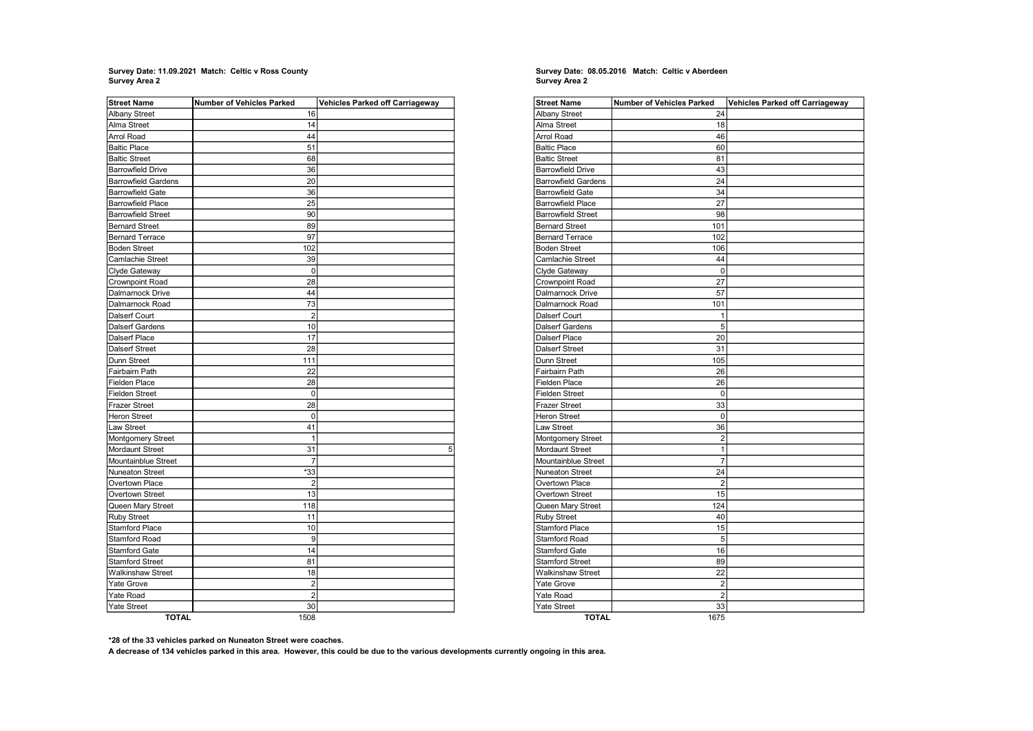## Survey Date: 11.09.2021 Match: Celtic v Ross County Survey Date: 08.05.2016 Match: Celtic v Aberdeen Survey Area 2

| <b>Street Name</b>         | <b>Number of Vehicles Parked</b> | <b>Vehicles Parked off Carriageway</b> |
|----------------------------|----------------------------------|----------------------------------------|
| <b>Albany Street</b>       | 16                               |                                        |
| Alma Street                | 14                               |                                        |
| Arrol Road                 | 44                               |                                        |
| <b>Baltic Place</b>        | 51                               |                                        |
| <b>Baltic Street</b>       | 68                               |                                        |
| <b>Barrowfield Drive</b>   | 36                               |                                        |
| <b>Barrowfield Gardens</b> | 20                               |                                        |
| <b>Barrowfield Gate</b>    | 36                               |                                        |
| <b>Barrowfield Place</b>   | 25                               |                                        |
| <b>Barrowfield Street</b>  | 90                               |                                        |
| <b>Bernard Street</b>      | 89                               |                                        |
| <b>Bernard Terrace</b>     | 97                               |                                        |
| <b>Boden Street</b>        | 102                              |                                        |
| Camlachie Street           | 39                               |                                        |
| Clyde Gateway              | 0                                |                                        |
| Crownpoint Road            | 28                               |                                        |
| Dalmarnock Drive           | 44                               |                                        |
| Dalmarnock Road            | 73                               |                                        |
| Dalserf Court              | $\overline{2}$                   |                                        |
| Dalserf Gardens            | 10                               |                                        |
| Dalserf Place              | 17                               |                                        |
| Dalserf Street             | 28                               |                                        |
| Dunn Street                | 111                              |                                        |
| Fairbairn Path             | 22                               |                                        |
| Fielden Place              | 28                               |                                        |
| <b>Fielden Street</b>      | 0                                |                                        |
| <b>Frazer Street</b>       | 28                               |                                        |
| <b>Heron Street</b>        | 0                                |                                        |
| Law Street                 | 41                               |                                        |
| Montgomery Street          | $\mathbf{1}$                     |                                        |
| Mordaunt Street            | 31                               | 5                                      |
| Mountainblue Street        | 7                                |                                        |
| Nuneaton Street            | *33                              |                                        |
| Overtown Place             | $\overline{2}$                   |                                        |
| Overtown Street            | 13                               |                                        |
| Queen Mary Street          | 118                              |                                        |
| <b>Ruby Street</b>         | 11                               |                                        |
| Stamford Place             | 10                               |                                        |
| <b>Stamford Road</b>       | 9                                |                                        |
| <b>Stamford Gate</b>       | 14                               |                                        |
| <b>Stamford Street</b>     | 81                               |                                        |
| <b>Walkinshaw Street</b>   | 18                               |                                        |
| Yate Grove                 | $\overline{2}$                   |                                        |
| Yate Road                  | $\overline{2}$                   |                                        |
| <b>Yate Street</b>         | 30                               |                                        |
| <b>TOTAL</b>               | 1508                             |                                        |

## Survey Date: 08.05.2016 Match: Celtic v Aberdeen<br>Survey Area 2

| <b>Street Name</b>         | <b>Number of Vehicles Parked</b> | Vehicles Parked off Carriageway |
|----------------------------|----------------------------------|---------------------------------|
| <b>Albany Street</b>       | 24                               |                                 |
| Alma Street                | 18                               |                                 |
| <b>Arrol Road</b>          | 46                               |                                 |
| <b>Baltic Place</b>        | 60                               |                                 |
| <b>Baltic Street</b>       | 81                               |                                 |
| <b>Barrowfield Drive</b>   | 43                               |                                 |
| <b>Barrowfield Gardens</b> | 24                               |                                 |
| <b>Barrowfield Gate</b>    | 34                               |                                 |
| <b>Barrowfield Place</b>   | 27                               |                                 |
| <b>Barrowfield Street</b>  | 98                               |                                 |
| <b>Bernard Street</b>      | 101                              |                                 |
| <b>Bernard Terrace</b>     | 102                              |                                 |
| <b>Boden Street</b>        | 106                              |                                 |
| Camlachie Street           | 44                               |                                 |
| Clyde Gateway              | $\mathbf 0$                      |                                 |
| <b>Crownpoint Road</b>     | 27                               |                                 |
| Dalmarnock Drive           | 57                               |                                 |
| Dalmarnock Road            | 101                              |                                 |
| Dalserf Court              | 1                                |                                 |
| Dalserf Gardens            | 5                                |                                 |
| Dalserf Place              | 20                               |                                 |
| Dalserf Street             | 31                               |                                 |
| Dunn Street                | 105                              |                                 |
| Fairbairn Path             | 26                               |                                 |
| <b>Fielden Place</b>       | 26                               |                                 |
| <b>Fielden Street</b>      | 0                                |                                 |
| Frazer Street              | 33                               |                                 |
| <b>Heron Street</b>        | $\mathbf 0$                      |                                 |
| Law Street                 | 36                               |                                 |
| Montgomery Street          | $\overline{2}$                   |                                 |
| <b>Mordaunt Street</b>     | 1                                |                                 |
| Mountainblue Street        | $\overline{7}$                   |                                 |
| Nuneaton Street            | 24                               |                                 |
| Overtown Place             | $\overline{2}$                   |                                 |
| Overtown Street            | 15                               |                                 |
| Queen Mary Street          | 124                              |                                 |
| <b>Ruby Street</b>         | 40                               |                                 |
| <b>Stamford Place</b>      | 15                               |                                 |
| <b>Stamford Road</b>       | 5                                |                                 |
| <b>Stamford Gate</b>       | 16                               |                                 |
| <b>Stamford Street</b>     | 89                               |                                 |
| Walkinshaw Street          | 22                               |                                 |
| Yate Grove                 | $\overline{2}$                   |                                 |
| Yate Road                  | $\overline{2}$                   |                                 |
| <b>Yate Street</b>         | 33                               |                                 |
| <b>TOTAL</b>               | 1675                             |                                 |

\*28 of the 33 vehicles parked on Nuneaton Street were coaches.

A decrease of 134 vehicles parked in this area. However, this could be due to the various developments currently ongoing in this area.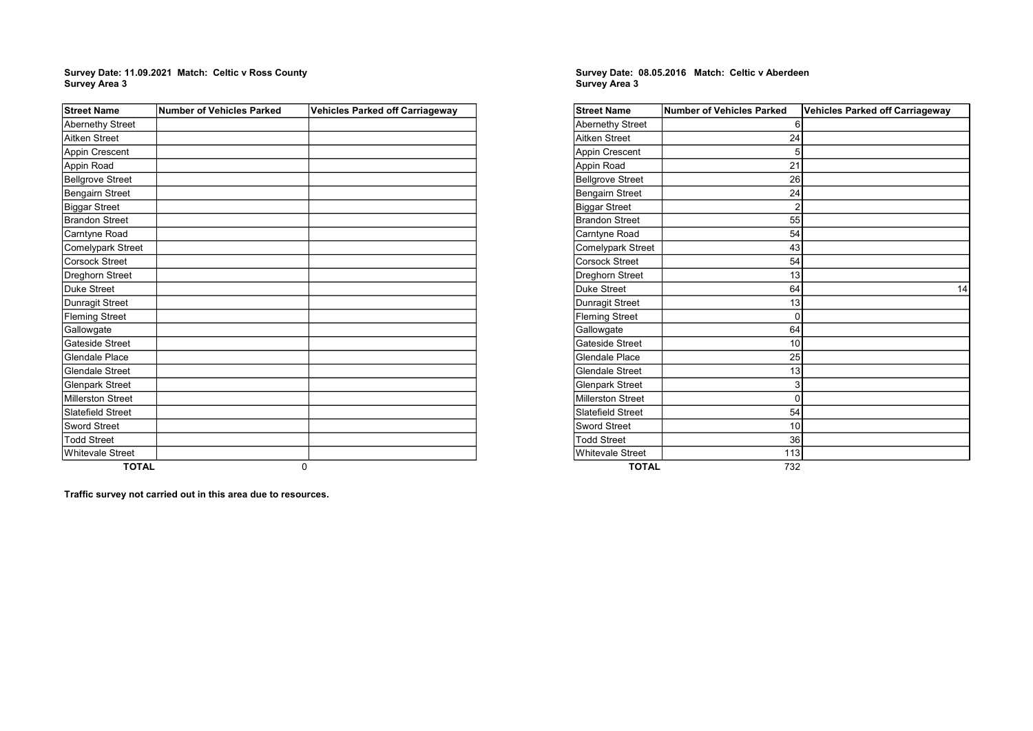#### Ì. Survey Date: 11.09.2021 Match: Celtic v Ross County Survey Area 3

| <b>Street Name</b>       | <b>Number of Vehicles Parked</b> | <b>Vehicles Parked off Carriageway</b> |
|--------------------------|----------------------------------|----------------------------------------|
| Abernethy Street         |                                  |                                        |
| Aitken Street            |                                  |                                        |
| Appin Crescent           |                                  |                                        |
| Appin Road               |                                  |                                        |
| <b>Bellgrove Street</b>  |                                  |                                        |
| Bengairn Street          |                                  |                                        |
| <b>Biggar Street</b>     |                                  |                                        |
| <b>Brandon Street</b>    |                                  |                                        |
| Carntyne Road            |                                  |                                        |
| Comelypark Street        |                                  |                                        |
| Corsock Street           |                                  |                                        |
| Dreghorn Street          |                                  |                                        |
| Duke Street              |                                  |                                        |
| Dunragit Street          |                                  |                                        |
| <b>Fleming Street</b>    |                                  |                                        |
| Gallowgate               |                                  |                                        |
| Gateside Street          |                                  |                                        |
| Glendale Place           |                                  |                                        |
| Glendale Street          |                                  |                                        |
| <b>Glenpark Street</b>   |                                  |                                        |
| <b>Millerston Street</b> |                                  |                                        |
| Slatefield Street        |                                  |                                        |
| <b>Sword Street</b>      |                                  |                                        |
| <b>Todd Street</b>       |                                  |                                        |
| <b>Whitevale Street</b>  |                                  |                                        |
| <b>TOTAL</b>             |                                  | $\Omega$                               |

### Survey Area 3 Survey Date: 08.05.2016 Match: Celtic v Aberdeen

| <b>Street Name</b>       | <b>Number of Vehicles Parked</b> | <b>Vehicles Parked off Carriageway</b> |
|--------------------------|----------------------------------|----------------------------------------|
| <b>Abernethy Street</b>  | 6                                |                                        |
| Aitken Street            | 24                               |                                        |
| <b>Appin Crescent</b>    | 5                                |                                        |
| Appin Road               | 21                               |                                        |
| <b>Bellgrove Street</b>  | 26                               |                                        |
| <b>Bengairn Street</b>   | 24                               |                                        |
| <b>Biggar Street</b>     | $\overline{2}$                   |                                        |
| <b>Brandon Street</b>    | 55                               |                                        |
| Carntyne Road            | 54                               |                                        |
| <b>Comelypark Street</b> | 43                               |                                        |
| <b>Corsock Street</b>    | 54                               |                                        |
| Dreghorn Street          | 13                               |                                        |
| Duke Street              | 64                               | 14                                     |
| Dunragit Street          | 13                               |                                        |
| <b>Fleming Street</b>    | $\Omega$                         |                                        |
| Gallowgate               | 64                               |                                        |
| Gateside Street          | 10                               |                                        |
| Glendale Place           | 25                               |                                        |
| <b>Glendale Street</b>   | 13                               |                                        |
| <b>Glenpark Street</b>   | 3                                |                                        |
| <b>Millerston Street</b> | 0                                |                                        |
| <b>Slatefield Street</b> | 54                               |                                        |
| <b>Sword Street</b>      | 10                               |                                        |
| <b>Todd Street</b>       | 36                               |                                        |
| <b>Whitevale Street</b>  | 113                              |                                        |
| <b>TOTAL</b>             | 732                              |                                        |

Traffic survey not carried out in this area due to resources.